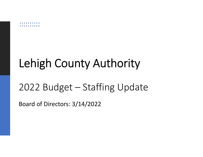## Lehigh County Authority

## 2022 Budget – Staffing Update

Board of Directors: 3/14/2022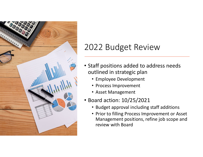

### 2022 Budget Review

- Staff positions added to address needs outlined in strategic plan
	- Employee Development
	- Process Improvement
	- Asset Management
- Board action: 10/25/2021
	- Budget approval including staff additions
	- Prior to filling Process Improvement or Asset Management positions, refine job scope and review with Board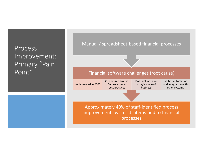#### Process Improvement: Primary "Pain Point"

#### Manual / spreadsheet‐based financial processes

#### Financial software challenges (root cause)

| Implemented in 2007 |  |
|---------------------|--|

```
Customized around
 LCA processes vs.
  best practices
```

```
Does not work for
today's scope of
   business
```
Inhibits automationand integration with other systems

Approximately 40% of staff‐identified process improvement "wish list" items tied to financial processes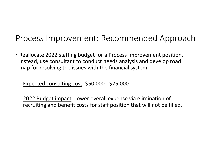### Process Improvement: Recommended Approach

• Reallocate 2022 staffing budget for <sup>a</sup> Process Improvement position. Instead, use consultant to conduct needs analysis and develop road map for resolving the issues with the financial system.

Expected consulting cost: \$50,000 ‐ \$75,000

2022 Budget impact: Lower overall expense via elimination of recruiting and benefit costs for staff position that will not be filled.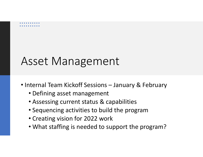## Asset Management

- Internal Team Kickoff Sessions January & February
	- Defining asset management
	- Assessing current status & capabilities
	- Sequencing activities to build the program
	- Creating vision for 2022 work
	- What staffing is needed to support the program?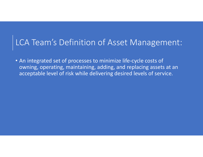#### LCA Team's Definition of Asset Management:

• An integrated set of processes to minimize life‐cycle costs of owning, operating, maintaining, adding, and replacing assets at an acceptable level of risk while delivering desired levels of service.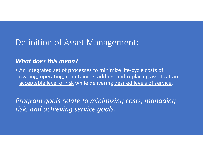### Definition of Asset Management:

#### *What does this mean?*

• An integrated set of processes to minimize life-cycle costs of owning, operating, maintaining, adding, and replacing assets at an acceptable level of risk while delivering desired levels of service.

*Program goals relate to minimizing costs, managing risk, and achieving service goals.*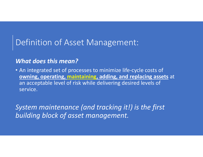### Definition of Asset Management:

#### *What does this mean?*

• An integrated set of processes to minimize life‐cycle costs of **owning, operating, maintaining, adding, and replacing assets** at an acceptable level of risk while delivering desired levels of service.

*System maintenance (and tracking it!) is the first building block of asset management.*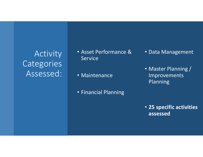Activity Categories Assessed:

• Asset Performance & Service

• Maintenance

• Financial Planning

- Data Management
- Master Planning / Improvements Planning

• **25 specific activities assessed**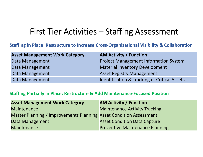### First Tier Activities – Staffing Assessment

#### **Staffing in Place: Restructure to Increase Cross‐Organizational Visibility & Collaboration**

| <b>Asset Management Work Category</b> | <b>AM Activity / Function</b>                           |
|---------------------------------------|---------------------------------------------------------|
| Data Management                       | <b>Project Management Information System</b>            |
| Data Management                       | <b>Material Inventory Development</b>                   |
| Data Management                       | <b>Asset Registry Management</b>                        |
| Data Management                       | <b>Identification &amp; Tracking of Critical Assets</b> |

#### **Staffing Partially in Place: Restructure & Add Maintenance‐Focused Position**

| <b>Asset Management Work Category</b>                              | <b>AM Activity / Function</b>          |
|--------------------------------------------------------------------|----------------------------------------|
| <b>Maintenance</b>                                                 | <b>Maintenance Activity Tracking</b>   |
| Master Planning / Improvements Planning Asset Condition Assessment |                                        |
| Data Management                                                    | <b>Asset Condition Data Capture</b>    |
| Maintenance                                                        | <b>Preventive Maintenance Planning</b> |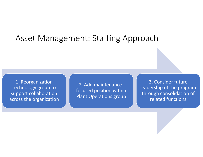#### Asset Management: Staffing Approach

1. Reorganization technology group to support collaboration across the organization

2. Add maintenance‐ focused position within Plant Operations group

3. Consider future leadership of the program through consolidation of related functions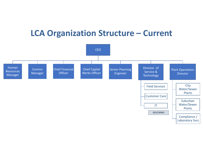#### **LCA Organization Structure – Current**

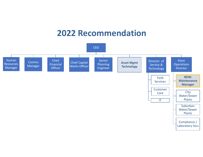#### **2022 Recommendation**

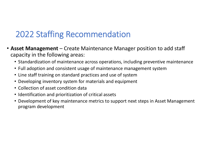### 2022 Staffing Recommendation

- **Asset Management** Create Maintenance Manager position to add staff capacity in the following areas:
	- Standardization of maintenance across operations, including preventive maintenance
	- Full adoption and consistent usage of maintenance management system
	- Line staff training on standard practices and use of system
	- Developing inventory system for materials and equipment
	- Collection of asset condition data
	- Identification and prioritization of critical assets
	- Development of key maintenance metrics to support next steps in Asset Management program development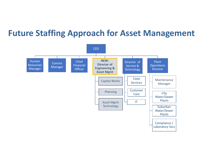#### **Future Staffing Approach for Asset Management**